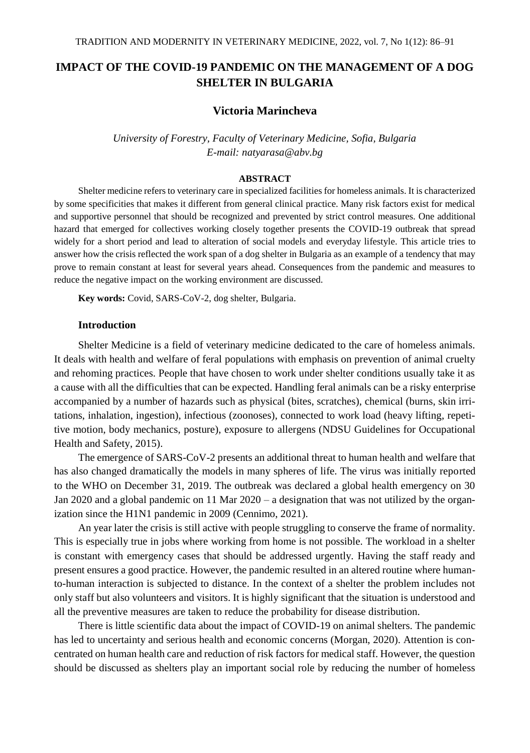# **IMPACT OF THE COVID-19 PANDEMIC ON THE MANAGEMENT OF A DOG SHELTER IN BULGARIA**

# **Victoria Marincheva**

*University of Forestry, Faculty of Veterinary Medicine, Sofia, Bulgaria E-mail: natyarasa@abv.bg*

### **ABSTRACT**

Shelter medicine refers to veterinary care in specialized facilities for homeless animals. It is characterized by some specificities that makes it different from general clinical practice. Many risk factors exist for medical and supportive personnel that should be recognized and prevented by strict control measures. One additional hazard that emerged for collectives working closely together presents the COVID-19 outbreak that spread widely for a short period and lead to alteration of social models and everyday lifestyle. This article tries to answer how the crisis reflected the work span of a dog shelter in Bulgaria as an example of a tendency that may prove to remain constant at least for several years ahead. Consequences from the pandemic and measures to reduce the negative impact on the working environment are discussed.

**Key words:** Covid, SARS-CoV-2, dog shelter, Bulgaria.

### **Introduction**

Shelter Medicine is a field of veterinary medicine dedicated to the care of homeless animals. It deals with health and welfare of feral populations with emphasis on prevention of animal cruelty and rehoming practices. People that have chosen to work under shelter conditions usually take it as a cause with all the difficulties that can be expected. Handling feral animals can be a risky enterprise accompanied by a number of hazards such as physical (bites, scratches), chemical (burns, skin irritations, inhalation, ingestion), infectious (zoonoses), connected to work load (heavy lifting, repetitive motion, body mechanics, posture), exposure to allergens (NDSU Guidelines for Occupational Health and Safety, 2015).

The emergence of SARS-CoV-2 presents an additional threat to human health and welfare that has also changed dramatically the models in many spheres of life. The virus was initially reported to the WHO on December 31, 2019. The outbreak was declared a global health emergency on 30 Jan 2020 and a global pandemic on 11 Mar 2020 – a designation that was not utilized by the organization since the H1N1 pandemic in 2009 (Cennimo, 2021).

An year later the crisis is still active with people struggling to conserve the frame of normality. This is especially true in jobs where working from home is not possible. The workload in a shelter is constant with emergency cases that should be addressed urgently. Having the staff ready and present ensures a good practice. However, the pandemic resulted in an altered routine where humanto-human interaction is subjected to distance. In the context of a shelter the problem includes not only staff but also volunteers and visitors. It is highly significant that the situation is understood and all the preventive measures are taken to reduce the probability for disease distribution.

There is little scientific data about the impact of COVID-19 on animal shelters. The pandemic has led to uncertainty and serious health and economic concerns (Morgan, 2020). Attention is concentrated on human health care and reduction of risk factors for medical staff. However, the question should be discussed as shelters play an important social role by reducing the number of homeless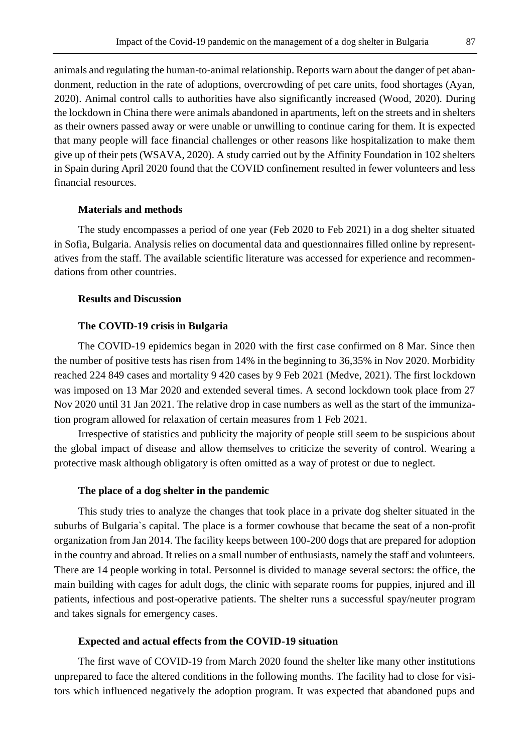animals and regulating the human-to-animal relationship. Reports warn about the danger of pet abandonment, reduction in the rate of adoptions, overcrowding of pet care units, food shortages (Ayan, 2020). Animal control calls to authorities have also significantly increased (Wood, 2020). During the lockdown in China there were animals abandoned in apartments, left on the streets and in shelters as their owners passed away or were unable or unwilling to continue caring for them. It is expected that many people will face financial challenges or other reasons like hospitalization to make them give up of their pets (WSAVA, 2020). A study carried out by the Affinity Foundation in 102 shelters in Spain during April 2020 found that the COVID confinement resulted in fewer volunteers and less financial resources.

# **Materials and methods**

The study encompasses a period of one year (Feb 2020 to Feb 2021) in a dog shelter situated in Sofia, Bulgaria. Analysis relies on documental data and questionnaires filled online by representatives from the staff. The available scientific literature was accessed for experience and recommendations from other countries.

## **Results and Discussion**

#### **The COVID-19 crisis in Bulgaria**

The COVID-19 epidemics began in 2020 with the first case confirmed on 8 Mar. Since then the number of positive tests has risen from 14% in the beginning to 36,35% in Nov 2020. Morbidity reached 224 849 cases and mortality 9 420 cases by 9 Feb 2021 (Medve, 2021). The first lockdown was imposed on 13 Mar 2020 and extended several times. A second lockdown took place from 27 Nov 2020 until 31 Jan 2021. The relative drop in case numbers as well as the start of the immunization program allowed for relaxation of certain measures from 1 Feb 2021.

Irrespective of statistics and publicity the majority of people still seem to be suspicious about the global impact of disease and allow themselves to criticize the severity of control. Wearing a protective mask although obligatory is often omitted as a way of protest or due to neglect.

#### **The place of a dog shelter in the pandemic**

This study tries to analyze the changes that took place in a private dog shelter situated in the suburbs of Bulgaria`s capital. The place is a former cowhouse that became the seat of a non-profit organization from Jan 2014. The facility keeps between 100-200 dogs that are prepared for adoption in the country and abroad. It relies on a small number of enthusiasts, namely the staff and volunteers. There are 14 people working in total. Personnel is divided to manage several sectors: the office, the main building with cages for adult dogs, the clinic with separate rooms for puppies, injured and ill patients, infectious and post-operative patients. The shelter runs a successful spay/neuter program and takes signals for emergency cases.

#### **Expected and actual effects from the COVID-19 situation**

The first wave of COVID-19 from March 2020 found the shelter like many other institutions unprepared to face the altered conditions in the following months. The facility had to close for visitors which influenced negatively the adoption program. It was expected that abandoned pups and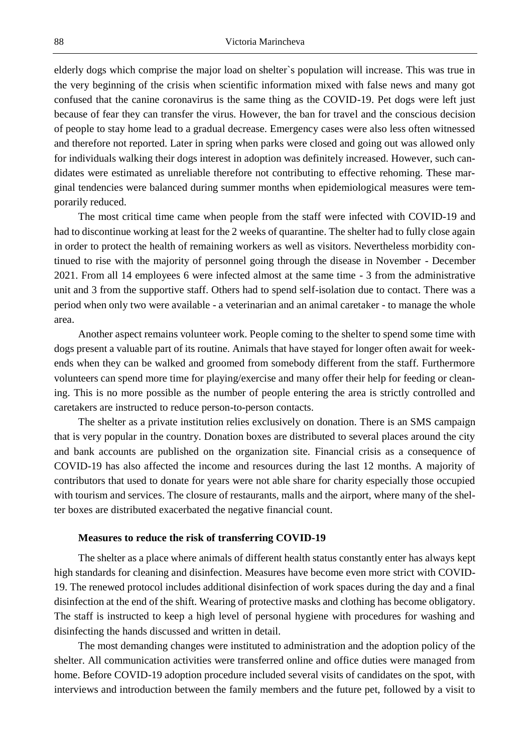elderly dogs which comprise the major load on shelter`s population will increase. This was true in the very beginning of the crisis when scientific information mixed with false news and many got confused that the canine coronavirus is the same thing as the COVID-19. Pet dogs were left just because of fear they can transfer the virus. However, the ban for travel and the conscious decision of people to stay home lead to a gradual decrease. Emergency cases were also less often witnessed and therefore not reported. Later in spring when parks were closed and going out was allowed only for individuals walking their dogs interest in adoption was definitely increased. However, such candidates were estimated as unreliable therefore not contributing to effective rehoming. These marginal tendencies were balanced during summer months when epidemiological measures were temporarily reduced.

The most critical time came when people from the staff were infected with COVID-19 and had to discontinue working at least for the 2 weeks of quarantine. The shelter had to fully close again in order to protect the health of remaining workers as well as visitors. Nevertheless morbidity continued to rise with the majority of personnel going through the disease in November - December 2021. From all 14 employees 6 were infected almost at the same time - 3 from the administrative unit and 3 from the supportive staff. Others had to spend self-isolation due to contact. There was a period when only two were available - a veterinarian and an animal caretaker - to manage the whole area.

Another aspect remains volunteer work. People coming to the shelter to spend some time with dogs present a valuable part of its routine. Animals that have stayed for longer often await for weekends when they can be walked and groomed from somebody different from the staff. Furthermore volunteers can spend more time for playing/exercise and many offer their help for feeding or cleaning. This is no more possible as the number of people entering the area is strictly controlled and caretakers are instructed to reduce person-to-person contacts.

The shelter as a private institution relies exclusively on donation. There is an SMS campaign that is very popular in the country. Donation boxes are distributed to several places around the city and bank accounts are published on the organization site. Financial crisis as a consequence of COVID-19 has also affected the income and resources during the last 12 months. A majority of contributors that used to donate for years were not able share for charity especially those occupied with tourism and services. The closure of restaurants, malls and the airport, where many of the shelter boxes are distributed exacerbated the negative financial count.

### **Measures to reduce the risk of transferring COVID-19**

The shelter as a place where animals of different health status constantly enter has always kept high standards for cleaning and disinfection. Measures have become even more strict with COVID-19. The renewed protocol includes additional disinfection of work spaces during the day and a final disinfection at the end of the shift. Wearing of protective masks and clothing has become obligatory. The staff is instructed to keep a high level of personal hygiene with procedures for washing and disinfecting the hands discussed and written in detail.

The most demanding changes were instituted to administration and the adoption policy of the shelter. All communication activities were transferred online and office duties were managed from home. Before COVID-19 adoption procedure included several visits of candidates on the spot, with interviews and introduction between the family members and the future pet, followed by a visit to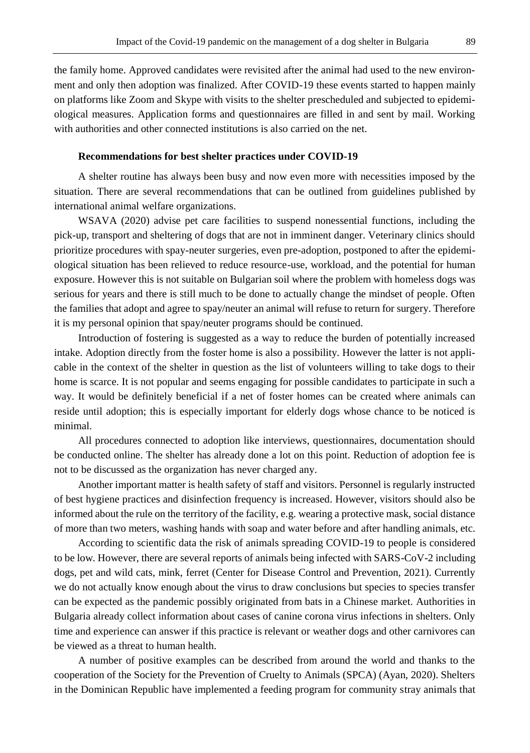the family home. Approved candidates were revisited after the animal had used to the new environment and only then adoption was finalized. After COVID-19 these events started to happen mainly on platforms like Zoom and Skype with visits to the shelter prescheduled and subjected to epidemiological measures. Application forms and questionnaires are filled in and sent by mail. Working with authorities and other connected institutions is also carried on the net.

### **Recommendations for best shelter practices under COVID-19**

A shelter routine has always been busy and now even more with necessities imposed by the situation. There are several recommendations that can be outlined from guidelines published by international animal welfare organizations.

WSAVA (2020) advise pet care facilities to suspend nonessential functions, including the pick-up, transport and sheltering of dogs that are not in imminent danger. Veterinary clinics should prioritize procedures with spay-neuter surgeries, even pre-adoption, postponed to after the epidemiological situation has been relieved to reduce resource-use, workload, and the potential for human exposure. However this is not suitable on Bulgarian soil where the problem with homeless dogs was serious for years and there is still much to be done to actually change the mindset of people. Often the families that adopt and agree to spay/neuter an animal will refuse to return for surgery. Therefore it is my personal opinion that spay/neuter programs should be continued.

Introduction of fostering is suggested as a way to reduce the burden of potentially increased intake. Adoption directly from the foster home is also a possibility. However the latter is not applicable in the context of the shelter in question as the list of volunteers willing to take dogs to their home is scarce. It is not popular and seems engaging for possible candidates to participate in such a way. It would be definitely beneficial if a net of foster homes can be created where animals can reside until adoption; this is especially important for elderly dogs whose chance to be noticed is minimal.

All procedures connected to adoption like interviews, questionnaires, documentation should be conducted online. The shelter has already done a lot on this point. Reduction of adoption fee is not to be discussed as the organization has never charged any.

Another important matter is health safety of staff and visitors. Personnel is regularly instructed of best hygiene practices and disinfection frequency is increased. However, visitors should also be informed about the rule on the territory of the facility, e.g. wearing a protective mask, social distance of more than two meters, washing hands with soap and water before and after handling animals, etc.

According to scientific data the risk of animals spreading COVID-19 to people is considered to be low. However, there are several reports of animals being infected with SARS-CoV-2 including dogs, pet and wild cats, mink, ferret (Center for Disease Control and Prevention, 2021). Currently we do not actually know enough about the virus to draw conclusions but species to species transfer can be expected as the pandemic possibly originated from bats in a Chinese market. Authorities in Bulgaria already collect information about cases of canine corona virus infections in shelters. Only time and experience can answer if this practice is relevant or weather dogs and other carnivores can be viewed as a threat to human health.

A number of positive examples can be described from around the world and thanks to the cooperation of the Society for the Prevention of Cruelty to Animals (SPCA) (Ayan, 2020). Shelters in the Dominican Republic have implemented a feeding program for community stray animals that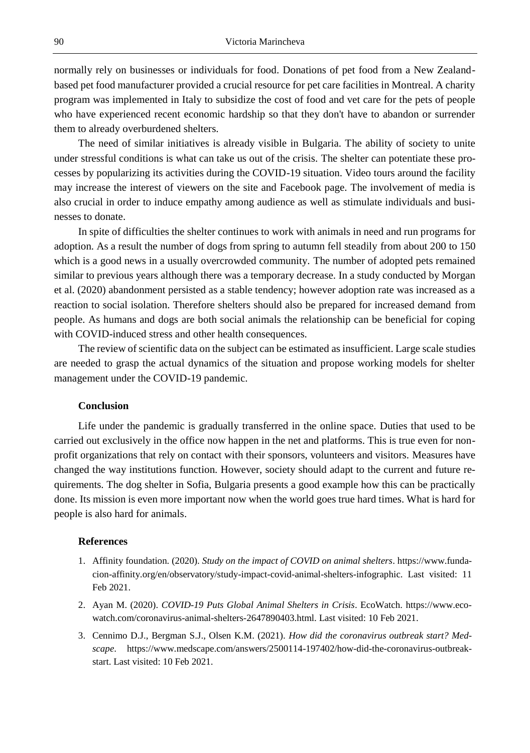normally rely on businesses or individuals for food. Donations of pet food from a New Zealandbased pet food manufacturer provided a crucial resource for pet care facilities in Montreal. A charity program was implemented in Italy to subsidize the cost of food and vet care for the pets of people who have experienced recent economic hardship so that they don't have to abandon or surrender them to already overburdened shelters.

The need of similar initiatives is already visible in Bulgaria. The ability of society to unite under stressful conditions is what can take us out of the crisis. The shelter can potentiate these processes by popularizing its activities during the COVID-19 situation. Video tours around the facility may increase the interest of viewers on the site and Facebook page. The involvement of media is also crucial in order to induce empathy among audience as well as stimulate individuals and businesses to donate.

In spite of difficulties the shelter continues to work with animals in need and run programs for adoption. As a result the number of dogs from spring to autumn fell steadily from about 200 to 150 which is a good news in a usually overcrowded community. The number of adopted pets remained similar to previous years although there was a temporary decrease. In a study conducted by Morgan et al. (2020) abandonment persisted as a stable tendency; however adoption rate was increased as a reaction to social isolation. Therefore shelters should also be prepared for increased demand from people. As humans and dogs are both social animals the relationship can be beneficial for coping with COVID-induced stress and other health consequences.

The review of scientific data on the subject can be estimated as insufficient. Large scale studies are needed to grasp the actual dynamics of the situation and propose working models for shelter management under the COVID-19 pandemic.

### **Conclusion**

Life under the pandemic is gradually transferred in the online space. Duties that used to be carried out exclusively in the office now happen in the net and platforms. This is true even for nonprofit organizations that rely on contact with their sponsors, volunteers and visitors. Measures have changed the way institutions function. However, society should adapt to the current and future requirements. The dog shelter in Sofia, Bulgaria presents a good example how this can be practically done. Its mission is even more important now when the world goes true hard times. What is hard for people is also hard for animals.

#### **References**

- 1. Affinity foundation. (2020). *Study on the impact of COVID on animal shelters*. https://www.fundacion-affinity.org/en/observatory/study-impact-covid-animal-shelters-infographic. Last visited: 11 Feb 2021.
- 2. Ayan M. (2020). *COVID-19 Puts Global Animal Shelters in Crisis*. EcoWatch. https://www.ecowatch.com/coronavirus-animal-shelters-2647890403.html. Last visited: 10 Feb 2021.
- 3. Cennimo D.J., Bergman S.J., Olsen K.M. (2021). *How did the coronavirus outbreak start? Medscape*. https://www.medscape.com/answers/2500114-197402/how-did-the-coronavirus-outbreakstart. Last visited: 10 Feb 2021.